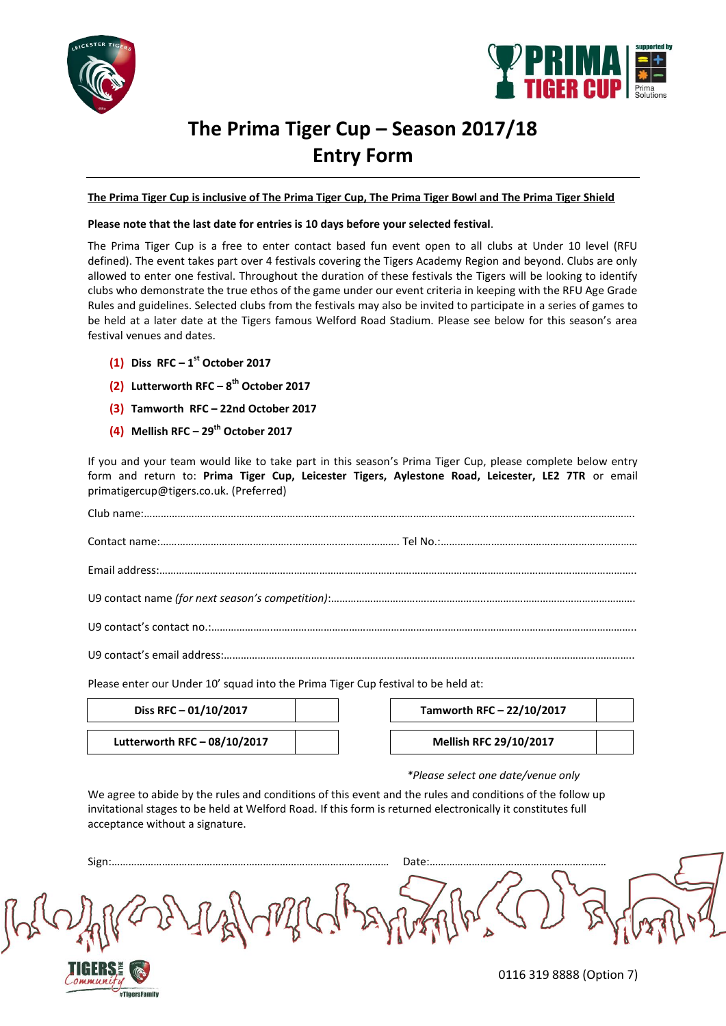



## **The Prima Tiger Cup – Season 2017/18 Entry Form**

**The Prima Tiger Cup is inclusive of The Prima Tiger Cup, The Prima Tiger Bowl and The Prima Tiger Shield**

## **Please note that the last date for entries is 10 days before your selected festival**.

The Prima Tiger Cup is a free to enter contact based fun event open to all clubs at Under 10 level (RFU defined). The event takes part over 4 festivals covering the Tigers Academy Region and beyond. Clubs are only allowed to enter one festival. Throughout the duration of these festivals the Tigers will be looking to identify clubs who demonstrate the true ethos of the game under our event criteria in keeping with the RFU Age Grade Rules and guidelines. Selected clubs from the festivals may also be invited to participate in a series of games to be held at a later date at the Tigers famous Welford Road Stadium. Please see below for this season's area festival venues and dates.

- **(1) Diss RFC – 1 st October 2017**
- **(2) Lutterworth RFC – 8 th October 2017**
- **(3) Tamworth RFC – 22nd October 2017**
- **(4) Mellish RFC – 29th October 2017**

If you and your team would like to take part in this season's Prima Tiger Cup, please complete below entry form and return to: **Prima Tiger Cup, Leicester Tigers, Aylestone Road, Leicester, LE2 7TR** or email primatigercup@tigers.co.uk. (Preferred)

Please enter our Under 10' squad into the Prima Tiger Cup festival to be held at:

| Diss RFC $-$ 01/10/2017        |  | Tamworth RFC - 22/10/2017     |
|--------------------------------|--|-------------------------------|
| Lutterworth RFC $-$ 08/10/2017 |  | <b>Mellish RFC 29/10/2017</b> |

#TigersFamily

| Tamworth RFC - 22/10/2017     |  |
|-------------------------------|--|
| <b>Mellish RFC 29/10/2017</b> |  |
|                               |  |

### *\*Please select one date/venue only*

We agree to abide by the rules and conditions of this event and the rules and conditions of the follow up invitational stages to be held at Welford Road. If this form is returned electronically it constitutes full acceptance without a signature.

0116 319 8888 (Option 7) Sign:……………………………………………………………………………………… Date:………………………………………………………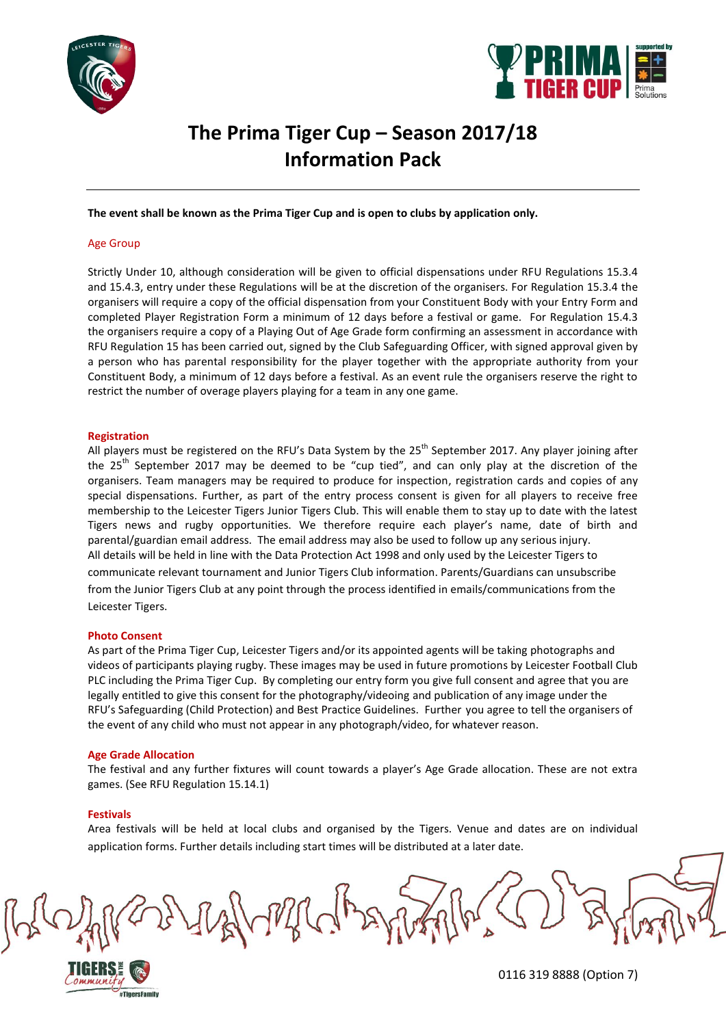



## **The Prima Tiger Cup – Season 2017/18 Information Pack**

**The event shall be known as the Prima Tiger Cup and is open to clubs by application only.** 

### Age Group

Strictly Under 10, although consideration will be given to official dispensations under RFU Regulations 15.3.4 and 15.4.3, entry under these Regulations will be at the discretion of the organisers. For Regulation 15.3.4 the organisers will require a copy of the official dispensation from your Constituent Body with your Entry Form and completed Player Registration Form a minimum of 12 days before a festival or game. For Regulation 15.4.3 the organisers require a copy of a Playing Out of Age Grade form confirming an assessment in accordance with RFU Regulation 15 has been carried out, signed by the Club Safeguarding Officer, with signed approval given by a person who has parental responsibility for the player together with the appropriate authority from your Constituent Body, a minimum of 12 days before a festival. As an event rule the organisers reserve the right to restrict the number of overage players playing for a team in any one game.

### **Registration**

All players must be registered on the RFU's Data System by the 25<sup>th</sup> September 2017. Any player joining after the  $25<sup>th</sup>$  September 2017 may be deemed to be "cup tied", and can only play at the discretion of the organisers. Team managers may be required to produce for inspection, registration cards and copies of any special dispensations. Further, as part of the entry process consent is given for all players to receive free membership to the Leicester Tigers Junior Tigers Club. This will enable them to stay up to date with the latest Tigers news and rugby opportunities. We therefore require each player's name, date of birth and parental/guardian email address. The email address may also be used to follow up any serious injury. All details will be held in line with the Data Protection Act 1998 and only used by the Leicester Tigers to communicate relevant tournament and Junior Tigers Club information. Parents/Guardians can unsubscribe from the Junior Tigers Club at any point through the process identified in emails/communications from the Leicester Tigers.

### **Photo Consent**

As part of the Prima Tiger Cup, Leicester Tigers and/or its appointed agents will be taking photographs and videos of participants playing rugby. These images may be used in future promotions by Leicester Football Club PLC including the Prima Tiger Cup. By completing our entry form you give full consent and agree that you are legally entitled to give this consent for the photography/videoing and publication of any image under the RFU's Safeguarding (Child Protection) and Best Practice Guidelines. Further you agree to tell the organisers of the event of any child who must not appear in any photograph/video, for whatever reason.

### **Age Grade Allocation**

The festival and any further fixtures will count towards a player's Age Grade allocation. These are not extra games. (See RFU Regulation 15.14.1)

### **Festivals**

Area festivals will be held at local clubs and organised by the Tigers. Venue and dates are on individual application forms. Further details including start times will be distributed at a later date.

Willy

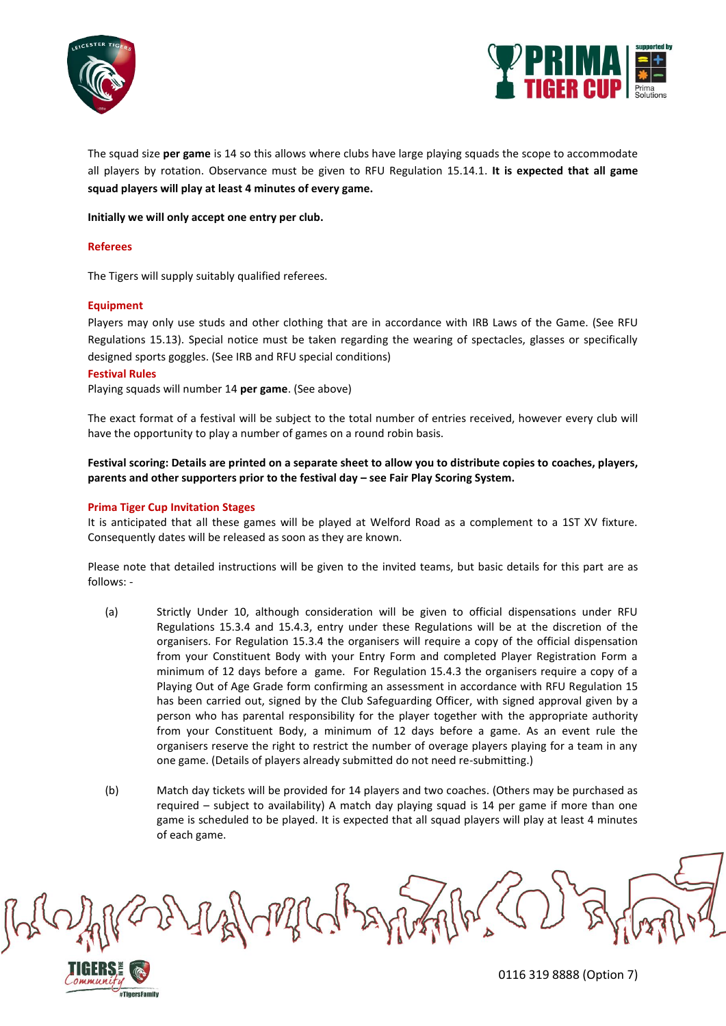



The squad size **per game** is 14 so this allows where clubs have large playing squads the scope to accommodate all players by rotation. Observance must be given to RFU Regulation 15.14.1. **It is expected that all game squad players will play at least 4 minutes of every game.**

**Initially we will only accept one entry per club.**

### **Referees**

The Tigers will supply suitably qualified referees.

### **Equipment**

Players may only use studs and other clothing that are in accordance with IRB Laws of the Game. (See RFU Regulations 15.13). Special notice must be taken regarding the wearing of spectacles, glasses or specifically designed sports goggles. (See IRB and RFU special conditions)

### **Festival Rules**

Playing squads will number 14 **per game**. (See above)

The exact format of a festival will be subject to the total number of entries received, however every club will have the opportunity to play a number of games on a round robin basis.

**Festival scoring: Details are printed on a separate sheet to allow you to distribute copies to coaches, players, parents and other supporters prior to the festival day – see Fair Play Scoring System.**

### **Prima Tiger Cup Invitation Stages**

#TigersFamily

It is anticipated that all these games will be played at Welford Road as a complement to a 1ST XV fixture. Consequently dates will be released as soon as they are known.

Please note that detailed instructions will be given to the invited teams, but basic details for this part are as follows: -

- (a) Strictly Under 10, although consideration will be given to official dispensations under RFU Regulations 15.3.4 and 15.4.3, entry under these Regulations will be at the discretion of the organisers. For Regulation 15.3.4 the organisers will require a copy of the official dispensation from your Constituent Body with your Entry Form and completed Player Registration Form a minimum of 12 days before a game. For Regulation 15.4.3 the organisers require a copy of a Playing Out of Age Grade form confirming an assessment in accordance with RFU Regulation 15 has been carried out, signed by the Club Safeguarding Officer, with signed approval given by a person who has parental responsibility for the player together with the appropriate authority from your Constituent Body, a minimum of 12 days before a game. As an event rule the organisers reserve the right to restrict the number of overage players playing for a team in any one game. (Details of players already submitted do not need re-submitting.)
- (b) Match day tickets will be provided for 14 players and two coaches. (Others may be purchased as required – subject to availability) A match day playing squad is 14 per game if more than one game is scheduled to be played. It is expected that all squad players will play at least 4 minutes of each game.

White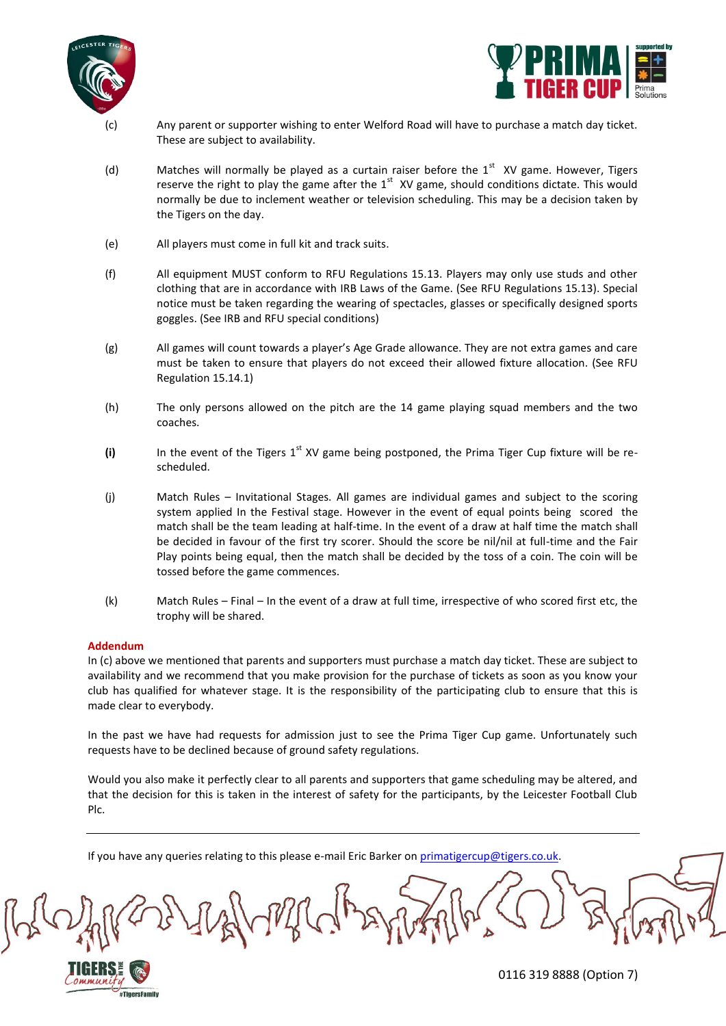



- Any parent or supporter wishing to enter Welford Road will have to purchase a match day ticket. These are subject to availability.
- (d) Matches will normally be played as a curtain raiser before the  $1<sup>st</sup>$  XV game. However, Tigers reserve the right to play the game after the  $1<sup>st</sup>$  XV game, should conditions dictate. This would normally be due to inclement weather or television scheduling. This may be a decision taken by the Tigers on the day.
- (e) All players must come in full kit and track suits.
- (f) All equipment MUST conform to RFU Regulations 15.13. Players may only use studs and other clothing that are in accordance with IRB Laws of the Game. (See RFU Regulations 15.13). Special notice must be taken regarding the wearing of spectacles, glasses or specifically designed sports goggles. (See IRB and RFU special conditions)
- (g) All games will count towards a player's Age Grade allowance. They are not extra games and care must be taken to ensure that players do not exceed their allowed fixture allocation. (See RFU Regulation 15.14.1)
- (h) The only persons allowed on the pitch are the 14 game playing squad members and the two coaches.
- (i) In the event of the Tigers  $1<sup>st</sup> XY$  game being postponed, the Prima Tiger Cup fixture will be rescheduled.
- (j) Match Rules Invitational Stages. All games are individual games and subject to the scoring system applied In the Festival stage. However in the event of equal points being scored the match shall be the team leading at half-time. In the event of a draw at half time the match shall be decided in favour of the first try scorer. Should the score be nil/nil at full-time and the Fair Play points being equal, then the match shall be decided by the toss of a coin. The coin will be tossed before the game commences.
- (k) Match Rules Final In the event of a draw at full time, irrespective of who scored first etc, the trophy will be shared.

## **Addendum**

#TigersFamily

In (c) above we mentioned that parents and supporters must purchase a match day ticket. These are subject to availability and we recommend that you make provision for the purchase of tickets as soon as you know your club has qualified for whatever stage. It is the responsibility of the participating club to ensure that this is made clear to everybody.

In the past we have had requests for admission just to see the Prima Tiger Cup game. Unfortunately such requests have to be declined because of ground safety regulations.

Would you also make it perfectly clear to all parents and supporters that game scheduling may be altered, and that the decision for this is taken in the interest of safety for the participants, by the Leicester Football Club Plc.

If you have any queries relating to this please e-mail Eric Barker o[n primatigercup@tigers.co.uk.](mailto:primatigercup@tigers.co.uk)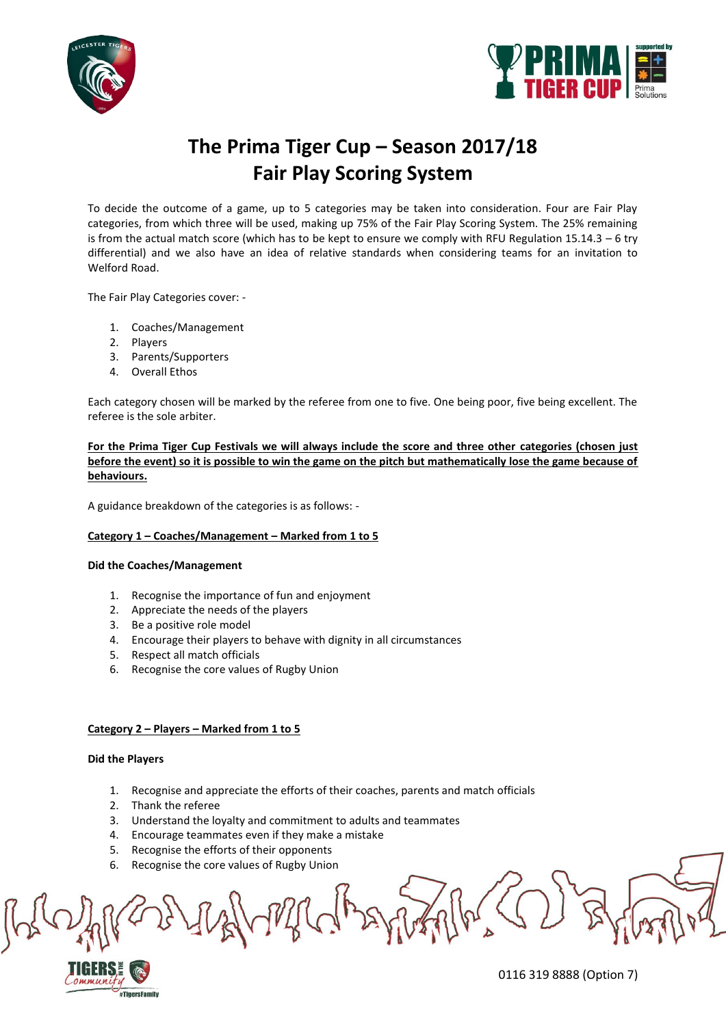



# **The Prima Tiger Cup – Season 2017/18 Fair Play Scoring System**

To decide the outcome of a game, up to 5 categories may be taken into consideration. Four are Fair Play categories, from which three will be used, making up 75% of the Fair Play Scoring System. The 25% remaining is from the actual match score (which has to be kept to ensure we comply with RFU Regulation  $15.14.3 - 6$  try differential) and we also have an idea of relative standards when considering teams for an invitation to Welford Road.

The Fair Play Categories cover: -

- 1. Coaches/Management
- 2. Players
- 3. Parents/Supporters
- 4. Overall Ethos

Each category chosen will be marked by the referee from one to five. One being poor, five being excellent. The referee is the sole arbiter.

**For the Prima Tiger Cup Festivals we will always include the score and three other categories (chosen just before the event) so it is possible to win the game on the pitch but mathematically lose the game because of behaviours.**

A guidance breakdown of the categories is as follows: -

## **Category 1 – Coaches/Management – Marked from 1 to 5**

## **Did the Coaches/Management**

- 1. Recognise the importance of fun and enjoyment
- 2. Appreciate the needs of the players
- 3. Be a positive role model
- 4. Encourage their players to behave with dignity in all circumstances
- 5. Respect all match officials
- 6. Recognise the core values of Rugby Union

## **Category 2 – Players – Marked from 1 to 5**

## **Did the Players**

- 1. Recognise and appreciate the efforts of their coaches, parents and match officials
- 2. Thank the referee
- 3. Understand the loyalty and commitment to adults and teammates
- 4. Encourage teammates even if they make a mistake
- 5. Recognise the efforts of their opponents
- 6. Recognise the core values of Rugby Union



0116 319 8888 (Option 7)